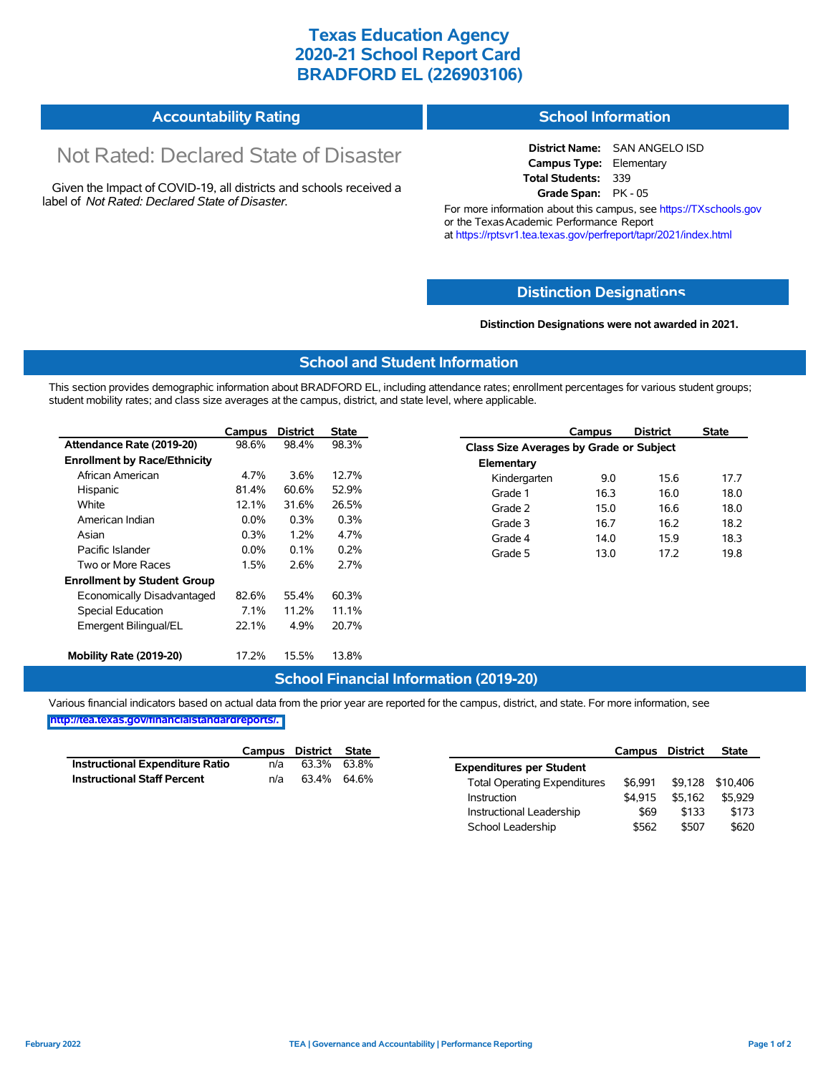## **Texas Education Agency 2020-21 School Report Card BRADFORD EL (226903106)**

#### **Accountability Rating School Information**

# Not Rated: Declared State of Disaster

Given the Impact of COVID-19, all districts and schools received a label of *Not Rated: Declared State of Disaster.*

**District Name:** SAN ANGELO ISD **Campus Type:** Elementary **Total Students:** 339 **Grade Span:** PK - 05

For more information about this campus, see https://TXschools.gov or the Texas Academic Performance Report at https://rptsvr1.tea.texas.gov/perfreport/tapr/2021/index.html

#### **Distinction Designat[ions](https://TXschools.gov)**

**Distinction Designations were not awarded in 2021.**

School Leadership  $$562$  \$507 \$620

#### **School and Student Information**

This section provides demographic information about BRADFORD EL, including attendance rates; enrollment percentages for various student groups; student mobility rates; and class size averages at the campus, district, and state level, where applicable.

|                                     | Campus  | <b>District</b> | State |              | Campus                                  | <b>District</b> | <b>State</b> |  |  |
|-------------------------------------|---------|-----------------|-------|--------------|-----------------------------------------|-----------------|--------------|--|--|
| Attendance Rate (2019-20)           | 98.6%   | 98.4%           | 98.3% |              | Class Size Averages by Grade or Subject |                 |              |  |  |
| <b>Enrollment by Race/Ethnicity</b> |         |                 |       | Elementary   |                                         |                 |              |  |  |
| African American                    | 4.7%    | 3.6%            | 12.7% | Kindergarten | 9.0                                     | 15.6            | 17.7         |  |  |
| Hispanic                            | 81.4%   | 60.6%           | 52.9% | Grade 1      | 16.3                                    | 16.0            | 18.0         |  |  |
| White                               | 12.1%   | 31.6%           | 26.5% | Grade 2      | 15.0                                    | 16.6            | 18.0         |  |  |
| American Indian                     | $0.0\%$ | 0.3%            | 0.3%  | Grade 3      | 16.7                                    | 16.2            | 18.2         |  |  |
| Asian                               | 0.3%    | 1.2%            | 4.7%  | Grade 4      | 14.0                                    | 15.9            | 18.3         |  |  |
| Pacific Islander                    | $0.0\%$ | 0.1%            | 0.2%  | Grade 5      | 13.0                                    | 17.2            | 19.8         |  |  |
| Two or More Races                   | 1.5%    | 2.6%            | 2.7%  |              |                                         |                 |              |  |  |
| <b>Enrollment by Student Group</b>  |         |                 |       |              |                                         |                 |              |  |  |
| Economically Disadvantaged          | 82.6%   | 55.4%           | 60.3% |              |                                         |                 |              |  |  |
| Special Education                   | 7.1%    | 11.2%           | 11.1% |              |                                         |                 |              |  |  |
| Emergent Bilingual/EL               | 22.1%   | 4.9%            | 20.7% |              |                                         |                 |              |  |  |
|                                     |         |                 |       |              |                                         |                 |              |  |  |
| Mobility Rate (2019-20)             | 17.2%   | 15.5%           | 13.8% |              |                                         |                 |              |  |  |

#### **School Financial Information (2019-20)**

Various financial indicators based on actual data from the prior year are reported for the campus, district, and state. For more information, see

**[http://tea.texas.gov/financialstandardreports/.](http://tea.texas.gov/financialstandardreports/)**

|                                        | Campus | <b>District</b> | <b>State</b> |                                     | Campus  | <b>District</b> | <b>State</b>     |
|----------------------------------------|--------|-----------------|--------------|-------------------------------------|---------|-----------------|------------------|
| <b>Instructional Expenditure Ratio</b> | n/a    | 63.3%           | 63.8%        | <b>Expenditures per Student</b>     |         |                 |                  |
| <b>Instructional Staff Percent</b>     | n/a    | 63.4%           | 64.6%        | <b>Total Operating Expenditures</b> | \$6.991 |                 | \$9,128 \$10,406 |
|                                        |        |                 |              | Instruction                         | \$4.915 | \$5.162         | \$5.929          |
|                                        |        |                 |              | Instructional Leadership            | \$69    | \$133           | \$173            |